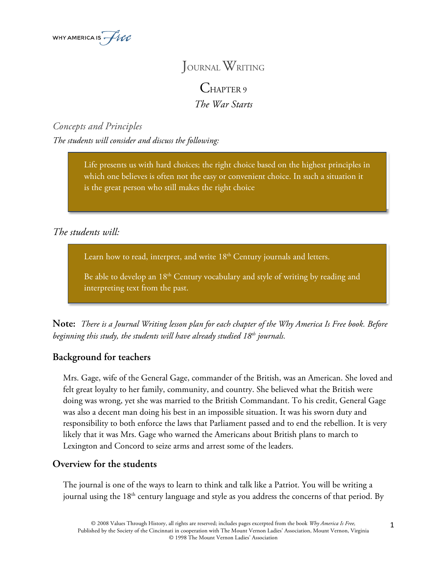

# JOURNAL WRITING

CHAPTER 9 *The War Starts*

*Concepts and Principles The students will consider and discuss the following:*

> Life presents us with hard choices; the right choice based on the highest principles in which one believes is often not the easy or convenient choice. In such a situation it is the great person who still makes the right choice

# *The students will:*

Learn how to read, interpret, and write  $18<sup>th</sup>$  Century journals and letters.

Be able to develop an 18<sup>th</sup> Century vocabulary and style of writing by reading and interpreting text from the past.

**Note:** *There is a Journal Writing lesson plan for each chapter of the Why America Is Free book. Before beginning this study, the students will have already studied 18th journals.*

## **Background for teachers**

Mrs. Gage, wife of the General Gage, commander of the British, was an American. She loved and felt great loyalty to her family, community, and country. She believed what the British were doing was wrong, yet she was married to the British Commandant. To his credit, General Gage was also a decent man doing his best in an impossible situation. It was his sworn duty and responsibility to both enforce the laws that Parliament passed and to end the rebellion. It is very likely that it was Mrs. Gage who warned the Americans about British plans to march to Lexington and Concord to seize arms and arrest some of the leaders.

#### **Overview for the students**

The journal is one of the ways to learn to think and talk like a Patriot. You will be writing a journal using the 18<sup>th</sup> century language and style as you address the concerns of that period. By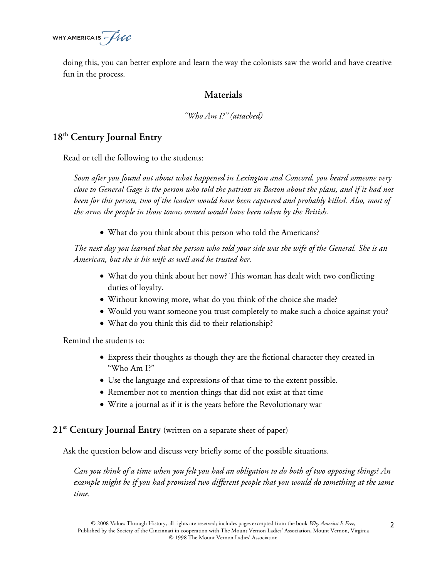WHY AMERICA IS  $\text{--}$   $\text{H}$ 

doing this, you can better explore and learn the way the colonists saw the world and have creative fun in the process.

#### **Materials**

*"Who Am I?" (attached)*

### **18th Century Journal Entry**

Read or tell the following to the students:

*Soon after you found out about what happened in Lexington and Concord, you heard someone very close to General Gage is the person who told the patriots in Boston about the plans, and if it had not been for this person, two of the leaders would have been captured and probably killed. Also, most of the arms the people in those towns owned would have been taken by the British.*

• What do you think about this person who told the Americans?

*The next day you learned that the person who told your side was the wife of the General. She is an American, but she is his wife as well and he trusted her.*

- What do you think about her now? This woman has dealt with two conflicting duties of loyalty.
- Without knowing more, what do you think of the choice she made?
- Would you want someone you trust completely to make such a choice against you?
- What do you think this did to their relationship?

Remind the students to:

- Express their thoughts as though they are the fictional character they created in "Who Am I?"
- Use the language and expressions of that time to the extent possible.
- Remember not to mention things that did not exist at that time
- Write a journal as if it is the years before the Revolutionary war

#### **21st Century Journal Entry** (written on a separate sheet of paper)

Ask the question below and discuss very briefly some of the possible situations.

*Can you think of a time when you felt you had an obligation to do both of two opposing things? An example might be if you had promised two different people that you would do something at the same time.*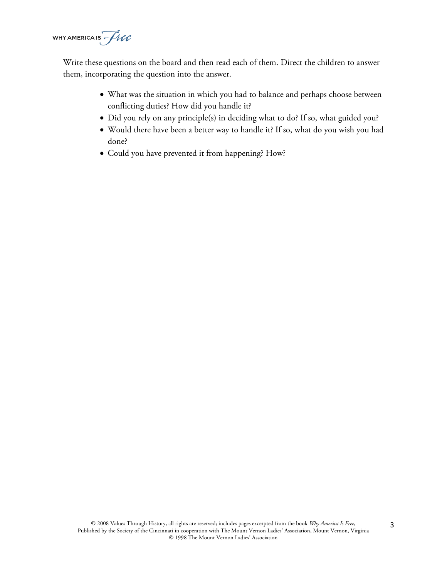WHY AMERICA IS  $\overline{\text{free}}$ 

Write these questions on the board and then read each of them. Direct the children to answer them, incorporating the question into the answer.

- What was the situation in which you had to balance and perhaps choose between conflicting duties? How did you handle it?
- Did you rely on any principle(s) in deciding what to do? If so, what guided you?
- Would there have been a better way to handle it? If so, what do you wish you had done?
- Could you have prevented it from happening? How?